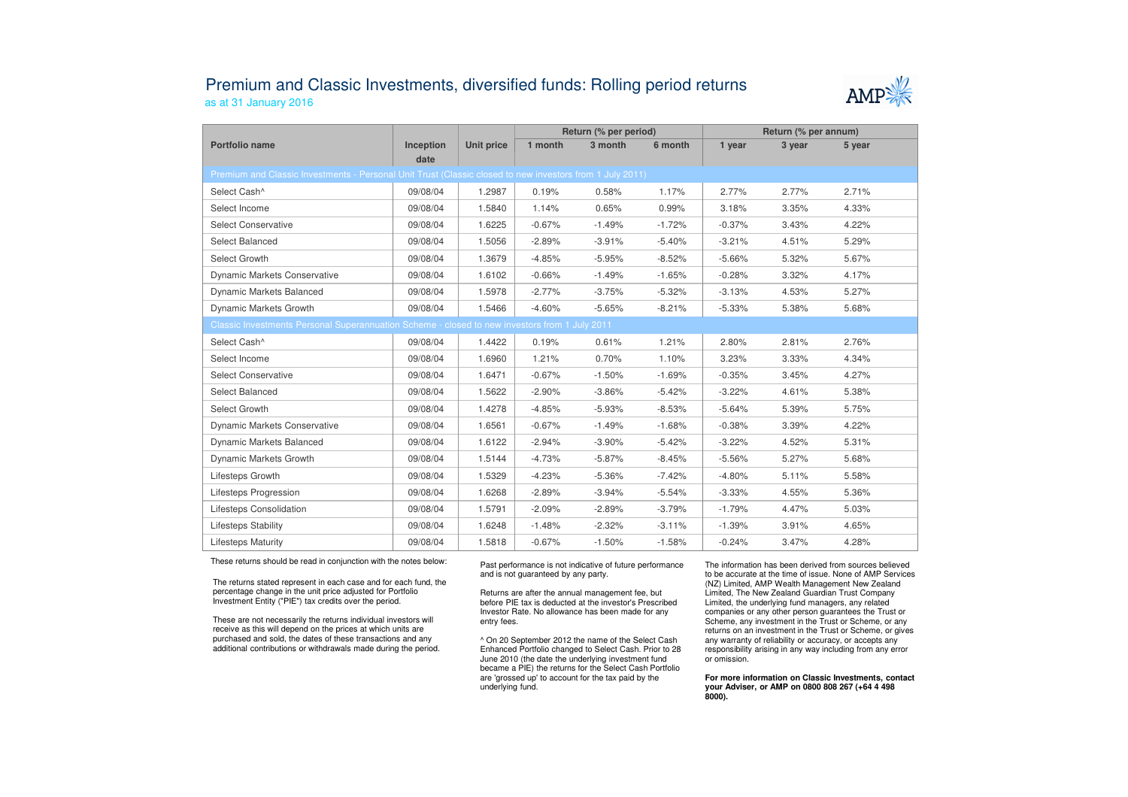## Premium and Classic Investments, diversified funds: Rolling period returnsas at 31 January 2016



|                                                                                                          |                   |                   | Return (% per period) |          |          | Return (% per annum) |        |        |  |  |  |  |
|----------------------------------------------------------------------------------------------------------|-------------------|-------------------|-----------------------|----------|----------|----------------------|--------|--------|--|--|--|--|
| Portfolio name                                                                                           | Inception<br>date | <b>Unit price</b> | 1 month               | 3 month  | 6 month  | 1 year               | 3 year | 5 year |  |  |  |  |
| Premium and Classic Investments - Personal Unit Trust (Classic closed to new investors from 1 July 2011) |                   |                   |                       |          |          |                      |        |        |  |  |  |  |
| Select Cash^                                                                                             | 09/08/04          | 1.2987            | 0.19%                 | 0.58%    | 1.17%    | 2.77%                | 2.77%  | 2.71%  |  |  |  |  |
| Select Income                                                                                            | 09/08/04          | 1.5840            | 1.14%                 | 0.65%    | 0.99%    | 3.18%                | 3.35%  | 4.33%  |  |  |  |  |
| <b>Select Conservative</b>                                                                               | 09/08/04          | 1.6225            | $-0.67%$              | $-1.49%$ | $-1.72%$ | $-0.37%$             | 3.43%  | 4.22%  |  |  |  |  |
| Select Balanced                                                                                          | 09/08/04          | 1.5056            | $-2.89%$              | $-3.91%$ | $-5.40%$ | $-3.21%$             | 4.51%  | 5.29%  |  |  |  |  |
| Select Growth                                                                                            | 09/08/04          | 1.3679            | $-4.85%$              | $-5.95%$ | $-8.52%$ | $-5.66%$             | 5.32%  | 5.67%  |  |  |  |  |
| <b>Dynamic Markets Conservative</b>                                                                      | 09/08/04          | 1.6102            | $-0.66%$              | $-1.49%$ | $-1.65%$ | $-0.28%$             | 3.32%  | 4.17%  |  |  |  |  |
| Dynamic Markets Balanced                                                                                 | 09/08/04          | 1.5978            | $-2.77%$              | $-3.75%$ | $-5.32%$ | $-3.13%$             | 4.53%  | 5.27%  |  |  |  |  |
| Dynamic Markets Growth                                                                                   | 09/08/04          | 1.5466            | $-4.60%$              | $-5.65%$ | $-8.21%$ | $-5.33%$             | 5.38%  | 5.68%  |  |  |  |  |
| Classic Investments Personal Superannuation Scheme - closed to new investors from 1 July 2011            |                   |                   |                       |          |          |                      |        |        |  |  |  |  |
| Select Cash^                                                                                             | 09/08/04          | 1.4422            | 0.19%                 | 0.61%    | 1.21%    | 2.80%                | 2.81%  | 2.76%  |  |  |  |  |
| Select Income                                                                                            | 09/08/04          | 1.6960            | 1.21%                 | 0.70%    | 1.10%    | 3.23%                | 3.33%  | 4.34%  |  |  |  |  |
| <b>Select Conservative</b>                                                                               | 09/08/04          | 1.6471            | $-0.67%$              | $-1.50%$ | $-1.69%$ | $-0.35%$             | 3.45%  | 4.27%  |  |  |  |  |
| Select Balanced                                                                                          | 09/08/04          | 1.5622            | $-2.90%$              | $-3.86%$ | $-5.42%$ | $-3.22%$             | 4.61%  | 5.38%  |  |  |  |  |
| Select Growth                                                                                            | 09/08/04          | 1.4278            | $-4.85%$              | $-5.93%$ | $-8.53%$ | $-5.64%$             | 5.39%  | 5.75%  |  |  |  |  |
| <b>Dynamic Markets Conservative</b>                                                                      | 09/08/04          | 1.6561            | $-0.67%$              | $-1.49%$ | $-1.68%$ | $-0.38%$             | 3.39%  | 4.22%  |  |  |  |  |
| Dynamic Markets Balanced                                                                                 | 09/08/04          | 1.6122            | $-2.94%$              | $-3.90%$ | $-5.42%$ | $-3.22%$             | 4.52%  | 5.31%  |  |  |  |  |
| Dynamic Markets Growth                                                                                   | 09/08/04          | 1.5144            | $-4.73%$              | $-5.87%$ | $-8.45%$ | $-5.56%$             | 5.27%  | 5.68%  |  |  |  |  |
| Lifesteps Growth                                                                                         | 09/08/04          | 1.5329            | $-4.23%$              | $-5.36%$ | $-7.42%$ | $-4.80%$             | 5.11%  | 5.58%  |  |  |  |  |
| Lifesteps Progression                                                                                    | 09/08/04          | 1.6268            | $-2.89%$              | $-3.94%$ | $-5.54%$ | $-3.33%$             | 4.55%  | 5.36%  |  |  |  |  |
| Lifesteps Consolidation                                                                                  | 09/08/04          | 1.5791            | $-2.09%$              | $-2.89%$ | $-3.79%$ | $-1.79%$             | 4.47%  | 5.03%  |  |  |  |  |
| Lifesteps Stability                                                                                      | 09/08/04          | 1.6248            | $-1.48%$              | $-2.32%$ | $-3.11%$ | $-1.39%$             | 3.91%  | 4.65%  |  |  |  |  |
| <b>Lifesteps Maturity</b>                                                                                | 09/08/04          | 1.5818            | $-0.67%$              | $-1.50%$ | $-1.58%$ | $-0.24%$             | 3.47%  | 4.28%  |  |  |  |  |

These returns should be read in conjunction with the notes below:

The returns stated represent in each case and for each fund, the percentage change in the unit price adjusted for Portfolio Investment Entity ("PIE") tax credits over the period.

These are not necessarily the returns individual investors will receive as this will depend on the prices at which units are purchased and sold, the dates of these transactions and any additional contributions or withdrawals made during the period. Past performance is not indicative of future performance and is not guaranteed by any party.

Returns are after the annual management fee, but before PIE tax is deducted at the investor's Prescribed Investor Rate. No allowance has been made for any entry fees.

^ On 20 September 2012 the name of the Select Cash Enhanced Portfolio changed to Select Cash. Prior to 28 June 2010 (the date the underlying investment fund became a PIE) the returns for the Select Cash Portfolio are 'grossed up' to account for the tax paid by theunderlying fund.

The information has been derived from sources believed to be accurate at the time of issue. None of AMP Services (NZ) Limited, AMP Wealth Management New Zealand Limited, The New Zealand Guardian Trust Company Limited, the underlying fund managers, any related companies or any other person guarantees the Trust or Scheme, any investment in the Trust or Scheme, or any returns on an investment in the Trust or Scheme, or gives any warranty of reliability or accuracy, or accepts any responsibility arising in any way including from any error or omission.

**For more information on Classic Investments, contact your Adviser, or AMP on 0800 808 267 (+64 4 498 8000).**